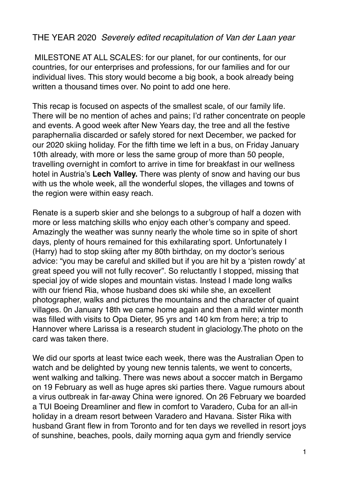## THE YEAR 2020 *Severely edited recapitulation of Van der Laan year*

 MILESTONE AT ALL SCALES: for our planet, for our continents, for our countries, for our enterprises and professions, for our families and for our individual lives. This story would become a big book, a book already being written a thousand times over. No point to add one here.

This recap is focused on aspects of the smallest scale, of our family life. There will be no mention of aches and pains; I'd rather concentrate on people and events. A good week after New Years day, the tree and all the festive paraphernalia discarded or safely stored for next December, we packed for our 2020 skiing holiday. For the fifth time we left in a bus, on Friday January 10th already, with more or less the same group of more than 50 people, travelling overnight in comfort to arrive in time for breakfast in our wellness hotel in Austria's **Lech Valley.** There was plenty of snow and having our bus with us the whole week, all the wonderful slopes, the villages and towns of the region were within easy reach.

Renate is a superb skier and she belongs to a subgroup of half a dozen with more or less matching skills who enjoy each other's company and speed. Amazingly the weather was sunny nearly the whole time so in spite of short days, plenty of hours remained for this exhilarating sport. Unfortunately I (Harry) had to stop skiing after my 80th birthday, on my doctor's serious advice: "you may be careful and skilled but if you are hit by a 'pisten rowdy' at great speed you will not fully recover". So reluctantly I stopped, missing that special joy of wide slopes and mountain vistas. Instead I made long walks with our friend Ria, whose husband does ski while she, an excellent photographer, walks and pictures the mountains and the character of quaint villages. 0n January 18th we came home again and then a mild winter month was filled with visits to Opa Dieter, 95 yrs and 140 km from here; a trip to Hannover where Larissa is a research student in glaciology.The photo on the card was taken there.

We did our sports at least twice each week, there was the Australian Open to watch and be delighted by young new tennis talents, we went to concerts, went walking and talking. There was news about a soccer match in Bergamo on 19 February as well as huge apres ski parties there. Vague rumours about a virus outbreak in far-away China were ignored. On 26 February we boarded a TUI Boeing Dreamliner and flew in comfort to Varadero, Cuba for an all-in holiday in a dream resort between Varadero and Havana. Sister Rika with husband Grant flew in from Toronto and for ten days we revelled in resort joys of sunshine, beaches, pools, daily morning aqua gym and friendly service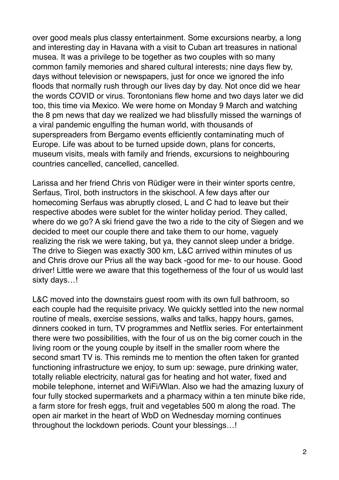over good meals plus classy entertainment. Some excursions nearby, a long and interesting day in Havana with a visit to Cuban art treasures in national musea. It was a privilege to be together as two couples with so many common family memories and shared cultural interests; nine days flew by, days without television or newspapers, just for once we ignored the info floods that normally rush through our lives day by day. Not once did we hear the words COVID or virus. Torontonians flew home and two days later we did too, this time via Mexico. We were home on Monday 9 March and watching the 8 pm news that day we realized we had blissfully missed the warnings of a viral pandemic engulfing the human world, with thousands of superspreaders from Bergamo events efficiently contaminating much of Europe. Life was about to be turned upside down, plans for concerts, museum visits, meals with family and friends, excursions to neighbouring countries cancelled, cancelled, cancelled.

Larissa and her friend Chris von Rüdiger were in their winter sports centre, Serfaus, Tirol, both instructors in the skischool. A few days after our homecoming Serfaus was abruptly closed, L and C had to leave but their respective abodes were sublet for the winter holiday period. They called, where do we go? A ski friend gave the two a ride to the city of Siegen and we decided to meet our couple there and take them to our home, vaguely realizing the risk we were taking, but ya, they cannot sleep under a bridge. The drive to Siegen was exactly 300 km, L&C arrived within minutes of us and Chris drove our Prius all the way back -good for me- to our house. Good driver! Little were we aware that this togetherness of the four of us would last sixty days…!

L&C moved into the downstairs guest room with its own full bathroom, so each couple had the requisite privacy. We quickly settled into the new normal routine of meals, exercise sessions, walks and talks, happy hours, games, dinners cooked in turn, TV programmes and Netflix series. For entertainment there were two possibilities, with the four of us on the big corner couch in the living room or the young couple by itself in the smaller room where the second smart TV is. This reminds me to mention the often taken for granted functioning infrastructure we enjoy, to sum up: sewage, pure drinking water, totally reliable electricity, natural gas for heating and hot water, fixed and mobile telephone, internet and WiFi/Wlan. Also we had the amazing luxury of four fully stocked supermarkets and a pharmacy within a ten minute bike ride, a farm store for fresh eggs, fruit and vegetables 500 m along the road. The open air market in the heart of WbD on Wednesday morning continues throughout the lockdown periods. Count your blessings…!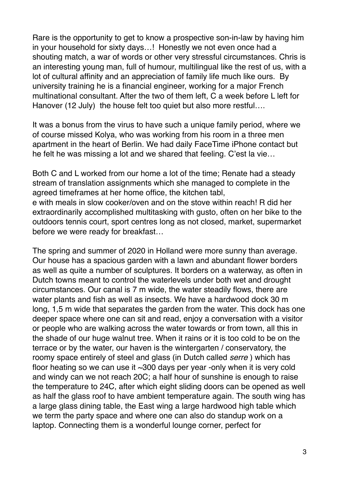Rare is the opportunity to get to know a prospective son-in-law by having him in your household for sixty days…! Honestly we not even once had a shouting match, a war of words or other very stressful circumstances. Chris is an interesting young man, full of humour, multilingual like the rest of us, with a lot of cultural affinity and an appreciation of family life much like ours. By university training he is a financial engineer, working for a major French multinational consultant. After the two of them left, C a week before L left for Hanover (12 July) the house felt too quiet but also more restful….

It was a bonus from the virus to have such a unique family period, where we of course missed Kolya, who was working from his room in a three men apartment in the heart of Berlin. We had daily FaceTime iPhone contact but he felt he was missing a lot and we shared that feeling. C'est la vie…

Both C and L worked from our home a lot of the time; Renate had a steady stream of translation assignments which she managed to complete in the agreed timeframes at her home office, the kitchen tabl, e with meals in slow cooker/oven and on the stove within reach! R did her extraordinarily accomplished multitasking with gusto, often on her bike to the outdoors tennis court, sport centres long as not closed, market, supermarket before we were ready for breakfast…

The spring and summer of 2020 in Holland were more sunny than average. Our house has a spacious garden with a lawn and abundant flower borders as well as quite a number of sculptures. It borders on a waterway, as often in Dutch towns meant to control the waterlevels under both wet and drought circumstances. Our canal is 7 m wide, the water steadily flows, there are water plants and fish as well as insects. We have a hardwood dock 30 m long, 1,5 m wide that separates the garden from the water. This dock has one deeper space where one can sit and read, enjoy a conversation with a visitor or people who are walking across the water towards or from town, all this in the shade of our huge walnut tree. When it rains or it is too cold to be on the terrace or by the water, our haven is the wintergarten / conservatory, the roomy space entirely of steel and glass (in Dutch called *serre* ) which has floor heating so we can use it ~300 days per year -only when it is very cold and windy can we not reach 20C; a half hour of sunshine is enough to raise the temperature to 24C, after which eight sliding doors can be opened as well as half the glass roof to have ambient temperature again. The south wing has a large glass dining table, the East wing a large hardwood high table which we term the party space and where one can also do standup work on a laptop. Connecting them is a wonderful lounge corner, perfect for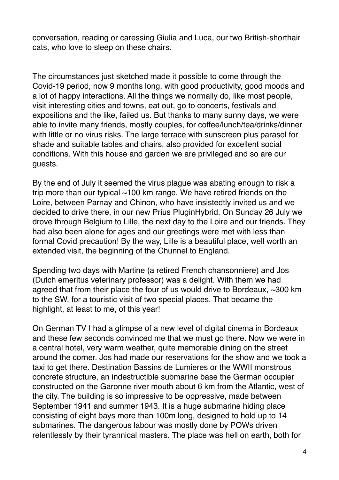conversation, reading or caressing Giulia and Luca, our two British-shorthair cats, who love to sleep on these chairs.

The circumstances just sketched made it possible to come through the Covid-19 period, now 9 months long, with good productivity, good moods and a lot of happy interactions. All the things we normally do, like most people, visit interesting cities and towns, eat out, go to concerts, festivals and expositions and the like, failed us. But thanks to many sunny days, we were able to invite many friends, mostly couples, for coffee/lunch/tea/drinks/dinner with little or no virus risks. The large terrace with sunscreen plus parasol for shade and suitable tables and chairs, also provided for excellent social conditions. With this house and garden we are privileged and so are our guests.

By the end of July it seemed the virus plague was abating enough to risk a trip more than our typical  $\sim$ 100 km range. We have retired friends on the Loire, between Parnay and Chinon, who have insistedtly invited us and we decided to drive there, in our new Prius PluginHybrid. On Sunday 26 July we drove through Belgium to Lille, the next day to the Loire and our friends. They had also been alone for ages and our greetings were met with less than formal Covid precaution! By the way, Lille is a beautiful place, well worth an extended visit, the beginning of the Chunnel to England.

Spending two days with Martine (a retired French chansonniere) and Jos (Dutch emeritus veterinary professor) was a delight. With them we had agreed that from their place the four of us would drive to Bordeaux, ~300 km to the SW, for a touristic visit of two special places. That became the highlight, at least to me, of this year!

On German TV I had a glimpse of a new level of digital cinema in Bordeaux and these few seconds convinced me that we must go there. Now we were in a central hotel, very warm weather, quite memorable dining on the street around the corner. Jos had made our reservations for the show and we took a taxi to get there. Destination Bassins de Lumieres or the WWII monstrous concrete structure, an indestructible submarine base the German occupier constructed on the Garonne river mouth about 6 km from the Atlantic, west of the city. The building is so impressive to be oppressive, made between September 1941 and summer 1943. It is a huge submarine hiding place consisting of eight bays more than 100m long, designed to hold up to 14 submarines. The dangerous labour was mostly done by POWs driven relentlessly by their tyrannical masters. The place was hell on earth, both for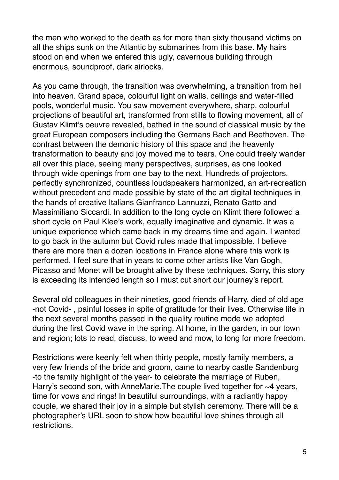the men who worked to the death as for more than sixty thousand victims on all the ships sunk on the Atlantic by submarines from this base. My hairs stood on end when we entered this ugly, cavernous building through enormous, soundproof, dark airlocks.

As you came through, the transition was overwhelming, a transition from hell into heaven. Grand space, colourful light on walls, ceilings and water-filled pools, wonderful music. You saw movement everywhere, sharp, colourful projections of beautiful art, transformed from stills to flowing movement, all of Gustav Klimt's oeuvre revealed, bathed in the sound of classical music by the great European composers including the Germans Bach and Beethoven. The contrast between the demonic history of this space and the heavenly transformation to beauty and joy moved me to tears. One could freely wander all over this place, seeing many perspectives, surprises, as one looked through wide openings from one bay to the next. Hundreds of projectors, perfectly synchronized, countless loudspeakers harmonized, an art-recreation without precedent and made possible by state of the art digital techniques in the hands of creative Italians Gianfranco Lannuzzi, Renato Gatto and Massimiliano Siccardi. In addition to the long cycle on Klimt there followed a short cycle on Paul Klee's work, equally imaginative and dynamic. It was a unique experience which came back in my dreams time and again. I wanted to go back in the autumn but Covid rules made that impossible. I believe there are more than a dozen locations in France alone where this work is performed. I feel sure that in years to come other artists like Van Gogh, Picasso and Monet will be brought alive by these techniques. Sorry, this story is exceeding its intended length so I must cut short our journey's report.

Several old colleagues in their nineties, good friends of Harry, died of old age -not Covid- , painful losses in spite of gratitude for their lives. Otherwise life in the next several months passed in the quality routine mode we adopted during the first Covid wave in the spring. At home, in the garden, in our town and region; lots to read, discuss, to weed and mow, to long for more freedom.

Restrictions were keenly felt when thirty people, mostly family members, a very few friends of the bride and groom, came to nearby castle Sandenburg -to the family highlight of the year- to celebrate the marriage of Ruben, Harry's second son, with AnneMarie. The couple lived together for ~4 years, time for vows and rings! In beautiful surroundings, with a radiantly happy couple, we shared their joy in a simple but stylish ceremony. There will be a photographer's URL soon to show how beautiful love shines through all restrictions.